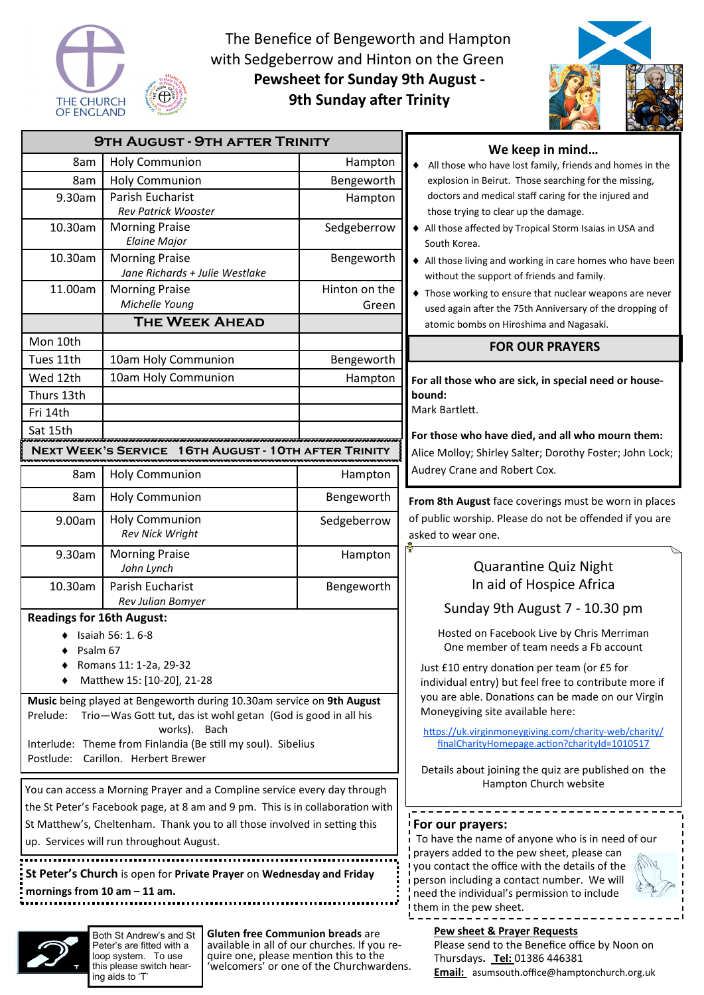

The Benefice of Bengeworth and Hampton with Sedgeberrow and Hinton on the Green **Pewsheet for Sunday 9th August - 9th Sunday after Trinity** 



| <b>9TH AUGUST - 9TH AFTER TRINITY</b>                                                     |                                                              |                                               | We keep in mind                                                                                                                                                                                                                                                                     |
|-------------------------------------------------------------------------------------------|--------------------------------------------------------------|-----------------------------------------------|-------------------------------------------------------------------------------------------------------------------------------------------------------------------------------------------------------------------------------------------------------------------------------------|
| 8am                                                                                       | <b>Holy Communion</b>                                        | Hampton                                       | All those who have lost family, friends and homes in the<br>explosion in Beirut. Those searching for the missing,                                                                                                                                                                   |
| 8am                                                                                       | <b>Holy Communion</b>                                        | Bengeworth                                    |                                                                                                                                                                                                                                                                                     |
| 9.30am                                                                                    | Parish Eucharist                                             | Hampton                                       | doctors and medical staff caring for the injured and                                                                                                                                                                                                                                |
|                                                                                           | <b>Rev Patrick Wooster</b>                                   |                                               | those trying to clear up the damage.                                                                                                                                                                                                                                                |
| 10.30am                                                                                   | <b>Morning Praise</b><br><b>Elaine Major</b>                 | Sedgeberrow                                   | All those affected by Tropical Storm Isaias in USA and<br>South Korea.                                                                                                                                                                                                              |
| 10.30am                                                                                   | <b>Morning Praise</b>                                        | Bengeworth                                    | All those living and working in care homes who have been                                                                                                                                                                                                                            |
|                                                                                           | Jane Richards + Julie Westlake                               |                                               | without the support of friends and family.                                                                                                                                                                                                                                          |
| 11.00am                                                                                   | <b>Morning Praise</b><br>Michelle Young                      | Hinton on the                                 | ◆ Those working to ensure that nuclear weapons are never                                                                                                                                                                                                                            |
|                                                                                           | <b>THE WEEK AHEAD</b>                                        | Green                                         | used again after the 75th Anniversary of the dropping of                                                                                                                                                                                                                            |
| Mon 10th                                                                                  |                                                              |                                               | atomic bombs on Hiroshima and Nagasaki.                                                                                                                                                                                                                                             |
| Tues 11th                                                                                 | 10am Holy Communion                                          | Bengeworth                                    | <b>FOR OUR PRAYERS</b>                                                                                                                                                                                                                                                              |
| Wed 12th                                                                                  | 10am Holy Communion                                          | Hampton                                       | For all those who are sick, in special need or house-                                                                                                                                                                                                                               |
| Thurs 13th                                                                                |                                                              |                                               | bound:                                                                                                                                                                                                                                                                              |
| Fri 14th                                                                                  |                                                              |                                               | Mark Bartlett.                                                                                                                                                                                                                                                                      |
| Sat 15th                                                                                  |                                                              |                                               | For those who have died, and all who mourn them:                                                                                                                                                                                                                                    |
| NEXT WEEK'S SERVICE<br>16TH AUGUST - 10TH AFTER TRINITY                                   |                                                              |                                               | Alice Molloy; Shirley Salter; Dorothy Foster; John Lock;                                                                                                                                                                                                                            |
| 8am                                                                                       | <b>Holy Communion</b>                                        | Hampton                                       | Audrey Crane and Robert Cox.                                                                                                                                                                                                                                                        |
| 8am                                                                                       | <b>Holy Communion</b>                                        | Bengeworth                                    | From 8th August face coverings must be worn in places                                                                                                                                                                                                                               |
| 9.00am                                                                                    | <b>Holy Communion</b>                                        | Sedgeberrow                                   | of public worship. Please do not be offended if you are                                                                                                                                                                                                                             |
|                                                                                           | Rev Nick Wright                                              |                                               | asked to wear one.                                                                                                                                                                                                                                                                  |
| 9.30am                                                                                    | <b>Morning Praise</b><br>John Lynch                          | Hampton                                       | <b>Quarantine Quiz Night</b>                                                                                                                                                                                                                                                        |
| 10.30am                                                                                   | Parish Eucharist                                             | Bengeworth                                    | In aid of Hospice Africa                                                                                                                                                                                                                                                            |
|                                                                                           | Rev Julian Bomyer                                            |                                               | Sunday 9th August 7 - 10.30 pm                                                                                                                                                                                                                                                      |
| <b>Readings for 16th August:</b>                                                          |                                                              |                                               | Hosted on Facebook Live by Chris Merriman<br>One member of team needs a Fb account<br>Just £10 entry donation per team (or £5 for<br>individual entry) but feel free to contribute more if<br>you are able. Donations can be made on our Virgin<br>Moneygiving site available here: |
| Isaiah 56: 1. 6-8<br>Psalm 67                                                             |                                                              |                                               |                                                                                                                                                                                                                                                                                     |
| Romans 11: 1-2a, 29-32                                                                    |                                                              |                                               |                                                                                                                                                                                                                                                                                     |
| Matthew 15: [10-20], 21-28                                                                |                                                              |                                               |                                                                                                                                                                                                                                                                                     |
| Music being played at Bengeworth during 10.30am service on 9th August                     |                                                              |                                               |                                                                                                                                                                                                                                                                                     |
| Trio-Was Gott tut, das ist wohl getan (God is good in all his<br>Prelude:<br>works). Bach |                                                              |                                               | https://uk.virginmoneygiving.com/charity-web/charity/                                                                                                                                                                                                                               |
|                                                                                           | Interlude: Theme from Finlandia (Be still my soul). Sibelius | finalCharityHomepage.action?charityId=1010517 |                                                                                                                                                                                                                                                                                     |
| Postlude: Carillon. Herbert Brewer                                                        |                                                              |                                               | Details about joining the quiz are published on the                                                                                                                                                                                                                                 |
| You can access a Morning Prayer and a Compline service every day through                  |                                                              |                                               | Hampton Church website                                                                                                                                                                                                                                                              |
| the St Peter's Facebook page, at 8 am and 9 pm. This is in collaboration with             |                                                              |                                               |                                                                                                                                                                                                                                                                                     |
| St Matthew's, Cheltenham. Thank you to all those involved in setting this                 |                                                              |                                               | ! For our prayers:<br>i To have the name of anyone who is in need of our<br>prayers added to the pew sheet, please can<br>you contact the office with the details of the                                                                                                            |
| up. Services will run throughout August.                                                  |                                                              |                                               |                                                                                                                                                                                                                                                                                     |
| St Peter's Church is open for Private Prayer on Wednesday and Friday                      |                                                              |                                               |                                                                                                                                                                                                                                                                                     |
| mornings from $10$ am $- 11$ am.                                                          |                                                              |                                               | i person including a contact number. We will<br>need the individual's permission to include                                                                                                                                                                                         |
|                                                                                           |                                                              |                                               | them in the pew sheet.                                                                                                                                                                                                                                                              |
|                                                                                           |                                                              |                                               | Pew sheet & Prayer Requests                                                                                                                                                                                                                                                         |
|                                                                                           | Gluten free Communion breads are<br>Both St Andrew's and St  |                                               |                                                                                                                                                                                                                                                                                     |

Peter's are fitted with a loop system. To use this please switch hearing aids to 'T'

available in all of our churches. If you require one, please mention this to the 'welcomers' or one of the Churchwardens.

Please send to the Benefice office by Noon on Thursdays**. Tel:** 01386 446381 **Email:** asumsouth.office@hamptonchurch.org.uk